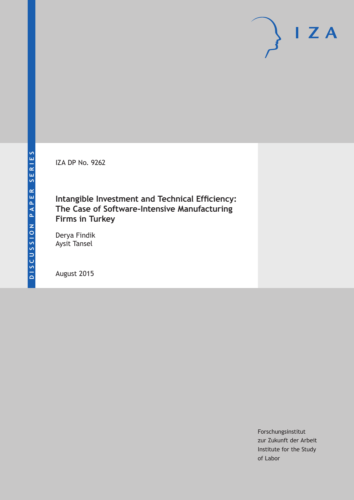IZA DP No. 9262

## **Intangible Investment and Technical Efficiency: The Case of Software-Intensive Manufacturing Firms in Turkey**

Derya Findik Aysit Tansel

August 2015

Forschungsinstitut zur Zukunft der Arbeit Institute for the Study of Labor

 $I Z A$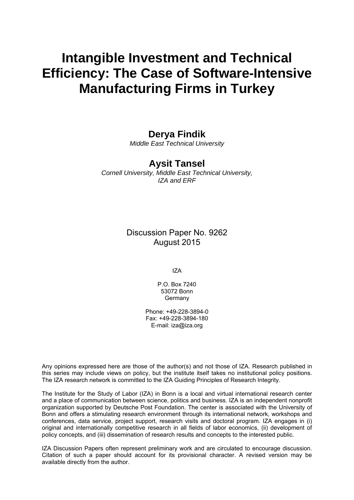# **Intangible Investment and Technical Efficiency: The Case of Software-Intensive Manufacturing Firms in Turkey**

## **Derya Findik**

*Middle East Technical University* 

## **Aysit Tansel**

*Cornell University, Middle East Technical University, IZA and ERF* 

> Discussion Paper No. 9262 August 2015

> > IZA

P.O. Box 7240 53072 Bonn Germany

Phone: +49-228-3894-0 Fax: +49-228-3894-180 E-mail: iza@iza.org

Any opinions expressed here are those of the author(s) and not those of IZA. Research published in this series may include views on policy, but the institute itself takes no institutional policy positions. The IZA research network is committed to the IZA Guiding Principles of Research Integrity.

The Institute for the Study of Labor (IZA) in Bonn is a local and virtual international research center and a place of communication between science, politics and business. IZA is an independent nonprofit organization supported by Deutsche Post Foundation. The center is associated with the University of Bonn and offers a stimulating research environment through its international network, workshops and conferences, data service, project support, research visits and doctoral program. IZA engages in (i) original and internationally competitive research in all fields of labor economics, (ii) development of policy concepts, and (iii) dissemination of research results and concepts to the interested public.

IZA Discussion Papers often represent preliminary work and are circulated to encourage discussion. Citation of such a paper should account for its provisional character. A revised version may be available directly from the author.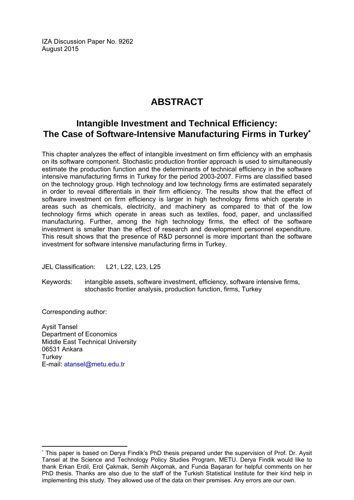IZA Discussion Paper No. 9262 August 2015

## **ABSTRACT**

## **Intangible Investment and Technical Efficiency: The Case of Software-Intensive Manufacturing Firms in Turkey\***

This chapter analyzes the effect of intangible investment on firm efficiency with an emphasis on its software component. Stochastic production frontier approach is used to simultaneously estimate the production function and the determinants of technical efficiency in the software intensive manufacturing firms in Turkey for the period 2003-2007. Firms are classified based on the technology group. High technology and low technology firms are estimated separately in order to reveal differentials in their firm efficiency. The results show that the effect of software investment on firm efficiency is larger in high technology firms which operate in areas such as chemicals, electricity, and machinery as compared to that of the low technology firms which operate in areas such as textiles, food, paper, and unclassified manufacturing. Further, among the high technology firms, the effect of the software investment is smaller than the effect of research and development personnel expenditure. This result shows that the presence of R&D personnel is more important than the software investment for software intensive manufacturing firms in Turkey.

JEL Classification: L21, L22, L23, L25

Keywords: intangible assets, software investment, efficiency, software intensive firms, stochastic frontier analysis, production function, firms, Turkey

Corresponding author:

 $\overline{a}$ 

Aysit Tansel Department of Economics Middle East Technical University 06531 Ankara **Turkey** E-mail: atansel@metu.edu.tr

<sup>\*</sup> This paper is based on Derya Findik's PhD thesis prepared under the supervision of Prof. Dr. Aysit Tansel at the Science and Technology Policy Studies Program, METU. Derya Findik would like to thank Erkan Erdil, Erol Çakmak, Semih Akçomak, and Funda Başaran for helpful comments on her PhD thesis. Thanks are also due to the staff of the Turkish Statistical Institute for their kind help in implementing this study. They allowed use of the data on their premises. Any errors are our own.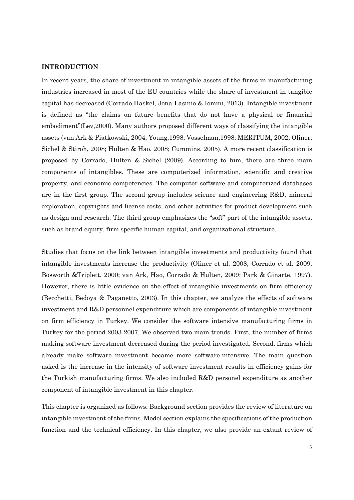#### **INTRODUCTION**

In recent years, the share of investment in intangible assets of the firms in manufacturing industries increased in most of the EU countries while the share of investment in tangible capital has decreased (Corrado,Haskel, Jona-Lasinio & Iommi, 2013). Intangible investment is defined as "the claims on future benefits that do not have a physical or financial embodiment"(Lev,2000). Many authors proposed different ways of classifying the intangible assets (van Ark & Piatkowski, 2004; Young,1998; Vosselman,1998; MERITUM, 2002; Oliner, Sichel & Stiroh, 2008; Hulten & Hao, 2008; Cummins, 2005). A more recent classification is proposed by Corrado, Hulten & Sichel (2009). According to him, there are three main components of intangibles. These are computerized information, scientific and creative property, and economic competencies. The computer software and computerized databases are in the first group. The second group includes science and engineering R&D, mineral exploration, copyrights and license costs, and other activities for product development such as design and research. The third group emphasizes the "soft" part of the intangible assets, such as brand equity, firm specific human capital, and organizational structure.

Studies that focus on the link between intangible investments and productivity found that intangible investments increase the productivity (Oliner et al. 2008; Corrado et al. 2009, Bosworth &Triplett, 2000; van Ark, Hao, Corrado & Hulten, 2009; Park & Ginarte, 1997). However, there is little evidence on the effect of intangible investments on firm efficiency (Becchetti, Bedoya & Paganetto, 2003). In this chapter, we analyze the effects of software investment and R&D personnel expenditure which are components of intangible investment on firm efficiency in Turkey. We consider the software intensive manufacturing firms in Turkey for the period 2003-2007. We observed two main trends. First, the number of firms making software investment decreased during the period investigated. Second, firms which already make software investment became more software-intensive. The main question asked is the increase in the intensity of software investment results in efficiency gains for the Turkish manufacturing firms. We also included R&D personel expenditure as another component of intangible investment in this chapter.

This chapter is organized as follows: Background section provides the review of literature on intangible investment of the firms. Model section explains the specifications of the production function and the technical efficiency. In this chapter, we also provide an extant review of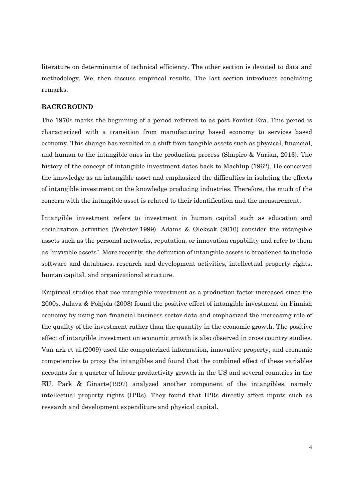literature on determinants of technical efficiency. The other section is devoted to data and methodology. We, then discuss empirical results. The last section introduces concluding remarks.

#### **BACKGROUND**

The 1970s marks the beginning of a period referred to as post-Fordist Era. This period is characterized with a transition from manufacturing based economy to services based economy. This change has resulted in a shift from tangible assets such as physical, financial, and human to the intangible ones in the production process (Shapiro & Varian, 2013). The history of the concept of intangible investment dates back to Machlup (1962). He conceived the knowledge as an intangible asset and emphasized the difficulties in isolating the effects of intangible investment on the knowledge producing industries. Therefore, the much of the concern with the intangible asset is related to their identification and the measurement.

Intangible investment refers to investment in human capital such as education and socialization activities (Webster,1999). Adams & Oleksak (2010) consider the intangible assets such as the personal networks, reputation, or innovation capability and refer to them as "invisible assets". More recently, the definition of intangible assets is broadened to include software and databases, research and development activities, intellectual property rights, human capital, and organizational structure.

Empirical studies that use intangible investment as a production factor increased since the 2000s. Jalava & Pohjola (2008) found the positive effect of intangible investment on Finnish economy by using non-financial business sector data and emphasized the increasing role of the quality of the investment rather than the quantity in the economic growth. The positive effect of intangible investment on economic growth is also observed in cross country studies. Van ark et al.(2009) used the computerized information, innovative property, and economic competencies to proxy the intangibles and found that the combined effect of these variables accounts for a quarter of labour productivity growth in the US and several countries in the EU. Park & Ginarte(1997) analyzed another component of the intangibles, namely intellectual property rights (IPRs). They found that IPRs directly affect inputs such as research and development expenditure and physical capital.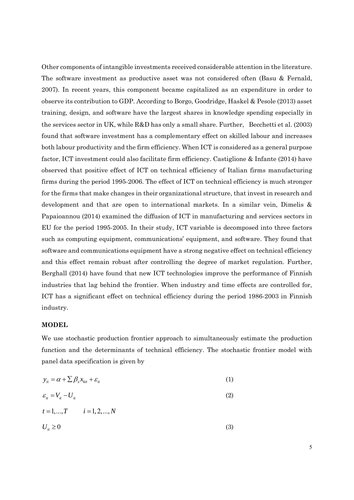Other components of intangible investments received considerable attention in the literature. The software investment as productive asset was not considered often (Basu & Fernald, 2007). In recent years, this component became capitalized as an expenditure in order to observe its contribution to GDP. According to Borgo, Goodridge, Haskel & Pesole (2013) asset training, design, and software have the largest shares in knowledge spending especially in the services sector in UK, while R&D has only a small share. Further, Becchetti et al. (2003) found that software investment has a complementary effect on skilled labour and increases both labour productivity and the firm efficiency. When ICT is considered as a general purpose factor, ICT investment could also facilitate firm efficiency. Castiglione & Infante (2014) have observed that positive effect of ICT on technical efficiency of Italian firms manufacturing firms during the period 1995-2006. The effect of ICT on technical efficiency is much stronger for the firms that make changes in their organizational structure, that invest in research and development and that are open to international markets. In a similar vein, Dimelis & Papaioannou (2014) examined the diffusion of ICT in manufacturing and services sectors in EU for the period 1995-2005. In their study, ICT variable is decomposed into three factors such as computing equipment, communications' equipment, and software. They found that software and communications equipment have a strong negative effect on technical efficiency and this effect remain robust after controlling the degree of market regulation. Further, Berghall (2014) have found that new ICT technologies improve the performance of Finnish industries that lag behind the frontier. When industry and time effects are controlled for, ICT has a significant effect on technical efficiency during the period 1986-2003 in Finnish industry.

#### **MODEL**

We use stochastic production frontier approach to simultaneously estimate the production function and the determinants of technical efficiency. The stochastic frontier model with panel data specification is given by

$$
y_{it} = \alpha + \sum \beta_x x_{kit} + \varepsilon_{it}
$$
 (1)

$$
\varepsilon_{ii} = V_{ii} - U_{ii}
$$
  
\n
$$
t = 1,...,T \qquad i = 1,2,...,N
$$
 (2)

$$
U_{it} \ge 0 \tag{3}
$$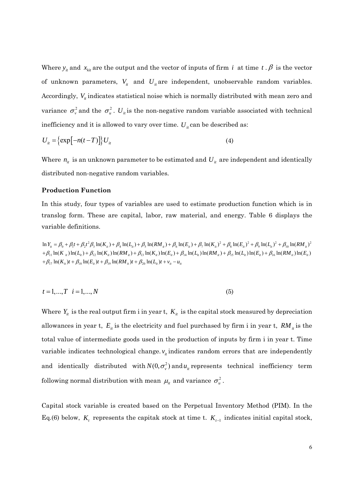Where  $y_i$  and  $x_{ki}$  are the output and the vector of inputs of firm *i* at time *t* .  $\beta$  is the vector of unknown parameters,  $V_{it}$  and  $U_{it}$  are independent, unobservable random variables. Accordingly,  $V_i$  indicates statistical noise which is normally distributed with mean zero and variance  $\sigma_{\nu}^2$  and the  $\sigma_{\mu}^2$ .  $U_{\mu}$  is the non-negative random variable associated with technical inefficiency and it is allowed to vary over time.  $U_i$  can be described as:

$$
U_{it} = \left\{ \exp\left[-n(t-T)\right] \right\} U_{it} \tag{4}
$$

Where  $n_{it}$  is an unknown parameter to be estimated and  $U_{it}$  are independent and identically distributed non-negative random variables.

#### **Production Function**

In this study, four types of variables are used to estimate production function which is in translog form. These are capital, labor, raw material, and energy. Table 6 displays the variable definitions.

 $\ln Y_{i} = \beta_0 + \beta_1 t + \beta_2 t^2 \beta_3 \ln(K_{i} t) + \beta_4 \ln(L_{i} t) + \beta_5 \ln(RM_{i} t) + \beta_6 \ln(E_{i} t) + \beta_7 \ln(K_{i} t)^2 + \beta_8 \ln(E_{i} t)^2 + \beta_9 \ln(L_{i} t)^2 + \beta_{10} \ln(RM_{i} t)^2$  $+\beta_{11} \ln(K_{ii}) \ln(L_{ii}) + \beta_{12} \ln(K_{ii}) \ln(RM_{ii}) + \beta_{13} \ln(K_{ii}) \ln(E_{ii}) + \beta_{14} \ln(L_{ii}) \ln(RM_{ii}) + \beta_{15} \ln(L_{ii}) \ln(E_{ii}) + \beta_{16} \ln(RM_{ii}) \ln(E_{ii})$  $+\beta_{17} \ln(K_{it})t + \beta_{18} \ln(E_{it})t + \beta_{19} \ln(RM_{it})t + \beta_{20} \ln(L_{it})t + v_{it} - u_{it}$ 

$$
t = 1, ..., T \quad i = 1, ..., N \tag{5}
$$

Where  $Y_{it}$  is the real output firm i in year t,  $K_{it}$  is the capital stock measured by depreciation allowances in year t,  $E_{ii}$  is the electricity and fuel purchased by firm i in year t,  $RM_{ii}$  is the total value of intermediate goods used in the production of inputs by firm i in year t. Time variable indicates technological change.  $v_i$  indicates random errors that are independently and identically distributed with  $N(0, \sigma_v^2)$  and  $u_u$  represents technical inefficiency term following normal distribution with mean  $\mu_i$  and variance  $\sigma_u^2$ .

Capital stock variable is created based on the Perpetual Inventory Method (PIM). In the Eq.(6) below,  $K_t$  represents the capitak stock at time t.  $K_{t-1}$  indicates initial capital stock,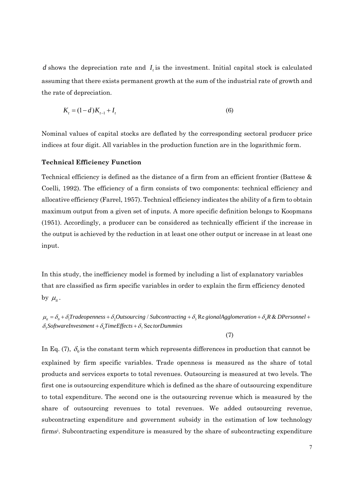*d* shows the depreciation rate and *I*<sub>i</sub> is the investment. Initial capital stock is calculated assuming that there exists permanent growth at the sum of the industrial rate of growth and the rate of depreciation.

$$
K_t = (1 - d)K_{t-1} + I_t
$$
\n(6)

Nominal values of capital stocks are deflated by the corresponding sectoral producer price indices at four digit. All variables in the production function are in the logarithmic form.

#### **Technical Efficiency Function**

Technical efficiency is defined as the distance of a firm from an efficient frontier (Battese & Coelli, 1992). The efficiency of a firm consists of two components: technical efficiency and allocative efficiency (Farrel, 1957). Technical efficiency indicates the ability of a firm to obtain maximum output from a given set of inputs. A more specific definition belongs to Koopmans (1951). Accordingly, a producer can be considered as technically efficient if the increase in the output is achieved by the reduction in at least one other output or increase in at least one input.

In this study, the inefficiency model is formed by including a list of explanatory variables that are classified as firm specific variables in order to explain the firm efficiency denoted by  $\mu_{it}$ .

 $\mu_a = \delta_0 + \delta_1$ Tradeopenness +  $\delta_2$ Outsourcing / Subcontracting +  $\delta_3$  Re gionalAgglomeration +  $\delta_4$ R & DPersonnel +  $\delta_{\rm s}$ SoftwareInvestment +  $\delta_{\rm s}$ TimeEffects +  $\delta_{\rm r}$  SectorDummies

(7)

In Eq. (7),  $\delta_0$  is the constant term which represents differences in production that cannot be explained by firm specific variables. Trade openness is measured as the share of total products and services exports to total revenues. Outsourcing is measured at two levels. The first one is outsourcing expenditure which is defined as the share of outsourcing expenditure to total expenditure. The second one is the outsourcing revenue which is measured by the share of outsourcing revenues to total revenues. We added outsourcing revenue, subcontracting expenditure and government subsidy in the estimation of low technology firms<sup>i</sup>. Subcontracting expenditure is measured by the share of subcontracting expenditure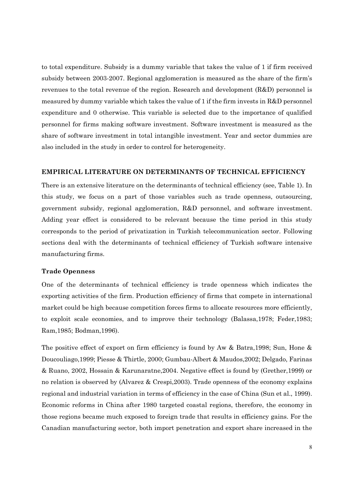to total expenditure. Subsidy is a dummy variable that takes the value of 1 if firm received subsidy between 2003-2007. Regional agglomeration is measured as the share of the firm's revenues to the total revenue of the region. Research and development (R&D) personnel is measured by dummy variable which takes the value of 1 if the firm invests in R&D personnel expenditure and 0 otherwise. This variable is selected due to the importance of qualified personnel for firms making software investment. Software investment is measured as the share of software investment in total intangible investment. Year and sector dummies are also included in the study in order to control for heterogeneity.

#### **EMPIRICAL LITERATURE ON DETERMINANTS OF TECHNICAL EFFICIENCY**

There is an extensive literature on the determinants of technical efficiency (see, Table 1). In this study, we focus on a part of those variables such as trade openness, outsourcing, government subsidy, regional agglomeration, R&D personnel, and software investment. Adding year effect is considered to be relevant because the time period in this study corresponds to the period of privatization in Turkish telecommunication sector. Following sections deal with the determinants of technical efficiency of Turkish software intensive manufacturing firms.

#### **Trade Openness**

One of the determinants of technical efficiency is trade openness which indicates the exporting activities of the firm. Production efficiency of firms that compete in international market could be high because competition forces firms to allocate resources more efficiently, to exploit scale economies, and to improve their technology (Balassa,1978; Feder,1983; Ram,1985; Bodman,1996).

The positive effect of export on firm efficiency is found by Aw & Batra,1998; Sun, Hone & Doucouliago,1999; Piesse & Thirtle, 2000; Gumbau-Albert & Maudos,2002; Delgado, Farinas & Ruano, 2002, Hossain & Karunaratne,2004. Negative effect is found by (Grether,1999) or no relation is observed by (Alvarez & Crespi,2003). Trade openness of the economy explains regional and industrial variation in terms of efficiency in the case of China (Sun et al., 1999). Economic reforms in China after 1980 targeted coastal regions, therefore, the economy in those regions became much exposed to foreign trade that results in efficiency gains. For the Canadian manufacturing sector, both import penetration and export share increased in the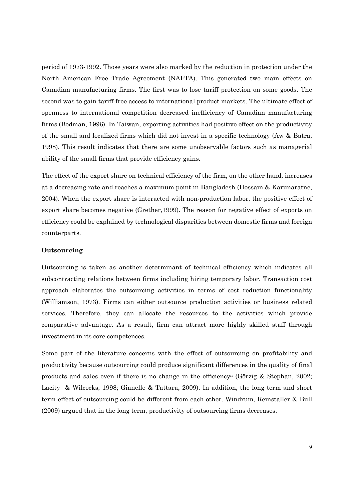period of 1973-1992. Those years were also marked by the reduction in protection under the North American Free Trade Agreement (NAFTA). This generated two main effects on Canadian manufacturing firms. The first was to lose tariff protection on some goods. The second was to gain tariff-free access to international product markets. The ultimate effect of openness to international competition decreased inefficiency of Canadian manufacturing firms (Bodman, 1996). In Taiwan, exporting activities had positive effect on the productivity of the small and localized firms which did not invest in a specific technology (Aw & Batra, 1998). This result indicates that there are some unobservable factors such as managerial ability of the small firms that provide efficiency gains.

The effect of the export share on technical efficiency of the firm, on the other hand, increases at a decreasing rate and reaches a maximum point in Bangladesh (Hossain & Karunaratne, 2004). When the export share is interacted with non-production labor, the positive effect of export share becomes negative (Grether,1999). The reason for negative effect of exports on efficiency could be explained by technological disparities between domestic firms and foreign counterparts.

#### **Outsourcing**

Outsourcing is taken as another determinant of technical efficiency which indicates all subcontracting relations between firms including hiring temporary labor. Transaction cost approach elaborates the outsourcing activities in terms of cost reduction functionality (Williamson, 1973). Firms can either outsource production activities or business related services. Therefore, they can allocate the resources to the activities which provide comparative advantage. As a result, firm can attract more highly skilled staff through investment in its core competences.

Some part of the literature concerns with the effect of outsourcing on profitability and productivity because outsourcing could produce significant differences in the quality of final products and sales even if there is no change in the efficiencyii (Görzig & Stephan, 2002; Lacity & Wilcocks, 1998; Gianelle & Tattara, 2009). In addition, the long term and short term effect of outsourcing could be different from each other. Windrum, Reinstaller & Bull (2009) argued that in the long term, productivity of outsourcing firms decreases.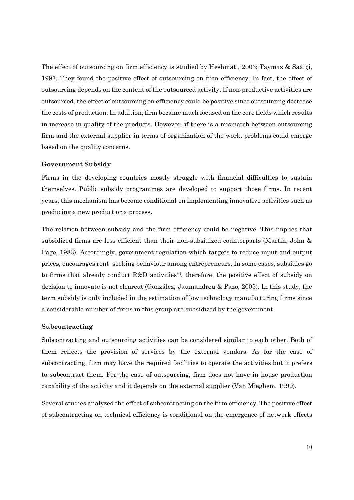The effect of outsourcing on firm efficiency is studied by Heshmati, 2003; Taymaz & Saatçi, 1997. They found the positive effect of outsourcing on firm efficiency. In fact, the effect of outsourcing depends on the content of the outsourced activity. If non-productive activities are outsourced, the effect of outsourcing on efficiency could be positive since outsourcing decrease the costs of production. In addition, firm became much focused on the core fields which results in increase in quality of the products. However, if there is a mismatch between outsourcing firm and the external supplier in terms of organization of the work, problems could emerge based on the quality concerns.

#### **Government Subsidy**

Firms in the developing countries mostly struggle with financial difficulties to sustain themselves. Public subsidy programmes are developed to support those firms. In recent years, this mechanism has become conditional on implementing innovative activities such as producing a new product or a process.

The relation between subsidy and the firm efficiency could be negative. This implies that subsidized firms are less efficient than their non-subsidized counterparts (Martin, John & Page, 1983). Accordingly, government regulation which targets to reduce input and output prices, encourages rent–seeking behaviour among entrepreneurs. In some cases, subsidies go to firms that already conduct R&D activitiesiii, therefore, the positive effect of subsidy on decision to innovate is not clearcut (González, Jaumandreu & Pazo, 2005). In this study, the term subsidy is only included in the estimation of low technology manufacturing firms since a considerable number of firms in this group are subsidized by the government.

#### **Subcontracting**

Subcontracting and outsourcing activities can be considered similar to each other. Both of them reflects the provision of services by the external vendors. As for the case of subcontracting, firm may have the required facilities to operate the activities but it prefers to subcontract them. For the case of outsourcing, firm does not have in house production capability of the activity and it depends on the external supplier (Van Mieghem, 1999).

Several studies analyzed the effect of subcontracting on the firm efficiency. The positive effect of subcontracting on technical efficiency is conditional on the emergence of network effects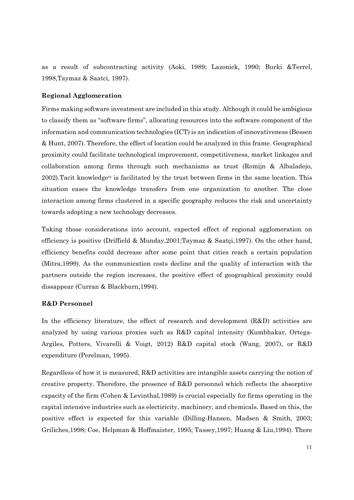as a result of subcontracting activity (Aoki, 1989; Lazonick, 1990; Burki &Terrel, 1998,Taymaz & Saatci, 1997).

#### **Regional Agglomeration**

Firms making software investment are included in this study. Although it could be ambigious to classify them as "software firms", allocating resources into the software component of the information and communication technologies (ICT) is an indication of innovativeness (Bessen & Hunt, 2007). Therefore, the effect of location could be analyzed in this frame. Geographical proximity could facilitate technological improvement, competitiveness, market linkages and collaboration among firms through such mechanisms as trust (Romijn & Albaladejo, 2002).Tacit knowledgeiv is facilitated by the trust between firms in the same location. This situation eases the knowledge transfers from one organization to another. The close interaction among firms clustered in a specific geography reduces the risk and uncertainty towards adopting a new technology decreases.

Taking those considerations into account, expected effect of regional agglomeration on efficiency is positive (Driffield & Munday,2001;Taymaz & Saatçi,1997). On the other hand, efficiency benefits could decrease after some point that cities reach a certain population (Mitra,1999). As the communication costs decline and the quality of interaction with the partners outside the region increases, the positive effect of geographical proximity could dissappear (Curran & Blackburn,1994).

#### **R&D Personnel**

In the efficiency literature, the effect of research and development (R&D) activities are analyzed by using various proxies such as R&D capital intensity (Kumbhakar, Ortega-Argiles, Potters, Vivarelli & Voigt, 2012) R&D capital stock (Wang, 2007), or R&D expenditure (Perelman, 1995).

Regardless of how it is measured, R&D activities are intangible assets carrying the notion of creative property. Therefore, the presence of R&D personnel which reflects the absorptive capacity of the firm (Cohen & Levinthal,1989) is crucial especially for firms operating in the capital intensive industries such as electiricity, machinery, and chemicals. Based on this, the positive effect is expected for this variable (Dilling-Hansen, Madsen & Smith, 2003; Griliches,1998; Coe, Helpman & Hoffmaister, 1995; Tassey,1997; Huang & Liu,1994). There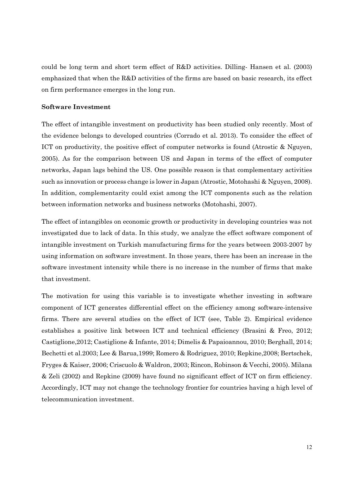could be long term and short term effect of R&D activities. Dilling- Hansen et al. (2003) emphasized that when the R&D activities of the firms are based on basic research, its effect on firm performance emerges in the long run.

#### **Software Investment**

The effect of intangible investment on productivity has been studied only recently. Most of the evidence belongs to developed countries (Corrado et al. 2013). To consider the effect of ICT on productivity, the positive effect of computer networks is found (Atrostic & Nguyen, 2005). As for the comparison between US and Japan in terms of the effect of computer networks, Japan lags behind the US. One possible reason is that complementary activities such as innovation or process change is lower in Japan (Atrostic, Motohashi & Nguyen, 2008). In addition, complementarity could exist among the ICT components such as the relation between information networks and business networks (Motohashi, 2007).

The effect of intangibles on economic growth or productivity in developing countries was not investigated due to lack of data. In this study, we analyze the effect software component of intangible investment on Turkish manufacturing firms for the years between 2003-2007 by using information on software investment. In those years, there has been an increase in the software investment intensity while there is no increase in the number of firms that make that investment.

The motivation for using this variable is to investigate whether investing in software component of ICT generates differential effect on the efficiency among software-intensive firms. There are several studies on the effect of ICT (see, Table 2). Empirical evidence establishes a positive link between ICT and technical efficiency (Brasini & Freo, 2012; Castiglione,2012; Castiglione & Infante, 2014; Dimelis & Papaioannou, 2010; Berghall, 2014; Bechetti et al.2003; Lee & Barua,1999; Romero & Rodriguez, 2010; Repkine,2008; Bertschek, Fryges & Kaiser, 2006; Criscuolo & Waldron, 2003; Rincon, Robinson & Vecchi, 2005). Milana & Zeli (2002) and Repkine (2009) have found no significant effect of ICT on firm efficiency. Accordingly, ICT may not change the technology frontier for countries having a high level of telecommunication investment.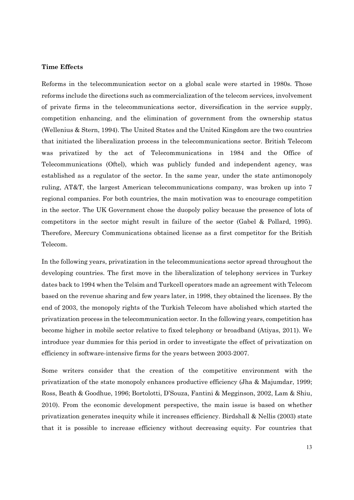#### **Time Effects**

Reforms in the telecommunication sector on a global scale were started in 1980s. Those reforms include the directions such as commercialization of the telecom services, involvement of private firms in the telecommunications sector, diversification in the service supply, competition enhancing, and the elimination of government from the ownership status (Wellenius & Stern, 1994). The United States and the United Kingdom are the two countries that initiated the liberalization process in the telecommunications sector. British Telecom was privatized by the act of Telecommunications in 1984 and the Office of Telecommunications (Oftel), which was publicly funded and independent agency, was established as a regulator of the sector. In the same year, under the state antimonopoly ruling, AT&T, the largest American telecommunications company, was broken up into 7 regional companies. For both countries, the main motivation was to encourage competition in the sector. The UK Government chose the duopoly policy because the presence of lots of competitors in the sector might result in failure of the sector (Gabel & Pollard, 1995). Therefore, Mercury Communications obtained license as a first competitor for the British Telecom.

In the following years, privatization in the telecommunications sector spread throughout the developing countries. The first move in the liberalization of telephony services in Turkey dates back to 1994 when the Telsim and Turkcell operators made an agreement with Telecom based on the revenue sharing and few years later, in 1998, they obtained the licenses. By the end of 2003, the monopoly rights of the Turkish Telecom have abolished which started the privatization process in the telecommunication sector. In the following years, competition has become higher in mobile sector relative to fixed telephony or broadband (Atiyas, 2011). We introduce year dummies for this period in order to investigate the effect of privatization on efficiency in software-intensive firms for the years between 2003-2007.

Some writers consider that the creation of the competitive environment with the privatization of the state monopoly enhances productive efficiency (Jha & Majumdar, 1999; Ross, Beath & Goodhue, 1996; Bortolotti, D'Souza, Fantini & Megginson, 2002, Lam & Shiu, 2010). From the economic development perspective, the main issue is based on whether privatization generates inequity while it increases efficiency. Birdshall & Nellis (2003) state that it is possible to increase efficiency without decreasing equity. For countries that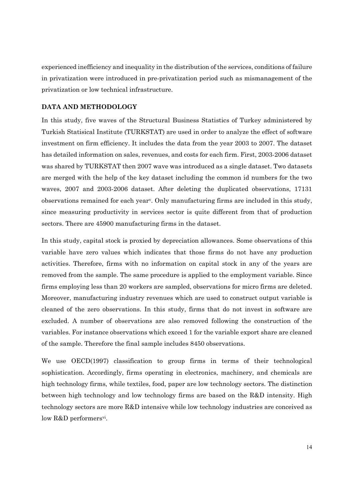experienced inefficiency and inequality in the distribution of the services, conditions of failure in privatization were introduced in pre-privatization period such as mismanagement of the privatization or low technical infrastructure.

#### **DATA AND METHODOLOGY**

In this study, five waves of the Structural Business Statistics of Turkey administered by Turkish Statisical Institute (TURKSTAT) are used in order to analyze the effect of software investment on firm efficiency. It includes the data from the year 2003 to 2007. The dataset has detailed information on sales, revenues, and costs for each firm. First, 2003-2006 dataset was shared by TURKSTAT then 2007 wave was introduced as a single dataset. Two datasets are merged with the help of the key dataset including the common id numbers for the two waves, 2007 and 2003-2006 dataset. After deleting the duplicated observations, 17131 observations remained for each yearv. Only manufacturing firms are included in this study, since measuring productivity in services sector is quite different from that of production sectors. There are 45900 manufacturing firms in the dataset.

In this study, capital stock is proxied by depreciation allowances. Some observations of this variable have zero values which indicates that those firms do not have any production activities. Therefore, firms with no information on capital stock in any of the years are removed from the sample. The same procedure is applied to the employment variable. Since firms employing less than 20 workers are sampled, observations for micro firms are deleted. Moreover, manufacturing industry revenues which are used to construct output variable is cleaned of the zero observations. In this study, firms that do not invest in software are excluded. A number of observations are also removed following the construction of the variables. For instance observations which exceed 1 for the variable export share are cleaned of the sample. Therefore the final sample includes 8450 observations.

We use OECD(1997) classification to group firms in terms of their technological sophistication. Accordingly, firms operating in electronics, machinery, and chemicals are high technology firms, while textiles, food, paper are low technology sectors. The distinction between high technology and low technology firms are based on the R&D intensity. High technology sectors are more R&D intensive while low technology industries are conceived as low R&D performers<sup>vi</sup>.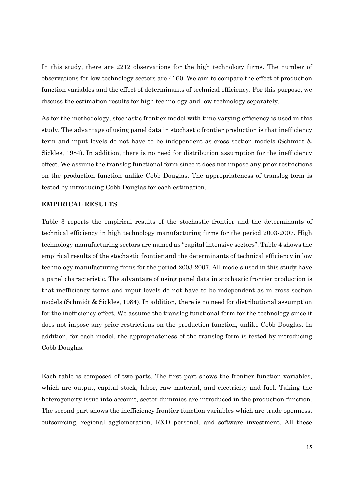In this study, there are 2212 observations for the high technology firms. The number of observations for low technology sectors are 4160. We aim to compare the effect of production function variables and the effect of determinants of technical efficiency. For this purpose, we discuss the estimation results for high technology and low technology separately.

As for the methodology, stochastic frontier model with time varying efficiency is used in this study. The advantage of using panel data in stochastic frontier production is that inefficiency term and input levels do not have to be independent as cross section models (Schmidt & Sickles, 1984). In addition, there is no need for distribution assumption for the inefficiency effect. We assume the translog functional form since it does not impose any prior restrictions on the production function unlike Cobb Douglas. The appropriateness of translog form is tested by introducing Cobb Douglas for each estimation.

#### **EMPIRICAL RESULTS**

Table 3 reports the empirical results of the stochastic frontier and the determinants of technical efficiency in high technology manufacturing firms for the period 2003-2007. High technology manufacturing sectors are named as "capital intensive sectors". Table 4 shows the empirical results of the stochastic frontier and the determinants of technical efficiency in low technology manufacturing firms for the period 2003-2007. All models used in this study have a panel characteristic. The advantage of using panel data in stochastic frontier production is that inefficiency terms and input levels do not have to be independent as in cross section models (Schmidt & Sickles, 1984). In addition, there is no need for distributional assumption for the inefficiency effect. We assume the translog functional form for the technology since it does not impose any prior restrictions on the production function, unlike Cobb Douglas. In addition, for each model, the appropriateness of the translog form is tested by introducing Cobb Douglas.

Each table is composed of two parts. The first part shows the frontier function variables, which are output, capital stock, labor, raw material, and electricity and fuel. Taking the heterogeneity issue into account, sector dummies are introduced in the production function. The second part shows the inefficiency frontier function variables which are trade openness, outsourcing, regional agglomeration, R&D personel, and software investment. All these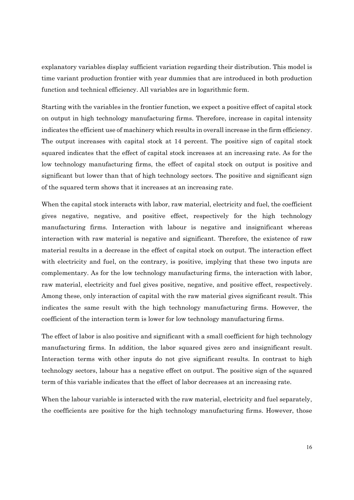explanatory variables display sufficient variation regarding their distribution. This model is time variant production frontier with year dummies that are introduced in both production function and technical efficiency. All variables are in logarithmic form.

Starting with the variables in the frontier function, we expect a positive effect of capital stock on output in high technology manufacturing firms. Therefore, increase in capital intensity indicates the efficient use of machinery which results in overall increase in the firm efficiency. The output increases with capital stock at 14 percent. The positive sign of capital stock squared indicates that the effect of capital stock increases at an increasing rate. As for the low technology manufacturing firms, the effect of capital stock on output is positive and significant but lower than that of high technology sectors. The positive and significant sign of the squared term shows that it increases at an increasing rate.

When the capital stock interacts with labor, raw material, electricity and fuel, the coefficient gives negative, negative, and positive effect, respectively for the high technology manufacturing firms. Interaction with labour is negative and insignificant whereas interaction with raw material is negative and significant. Therefore, the existence of raw material results in a decrease in the effect of capital stock on output. The interaction effect with electricity and fuel, on the contrary, is positive, implying that these two inputs are complementary. As for the low technology manufacturing firms, the interaction with labor, raw material, electricity and fuel gives positive, negative, and positive effect, respectively. Among these, only interaction of capital with the raw material gives significant result. This indicates the same result with the high technology manufacturing firms. However, the coefficient of the interaction term is lower for low technology manufacturing firms.

The effect of labor is also positive and significant with a small coefficient for high technology manufacturing firms. In addition, the labor squared gives zero and insignificant result. Interaction terms with other inputs do not give significant results. In contrast to high technology sectors, labour has a negative effect on output. The positive sign of the squared term of this variable indicates that the effect of labor decreases at an increasing rate.

When the labour variable is interacted with the raw material, electricity and fuel separately, the coefficients are positive for the high technology manufacturing firms. However, those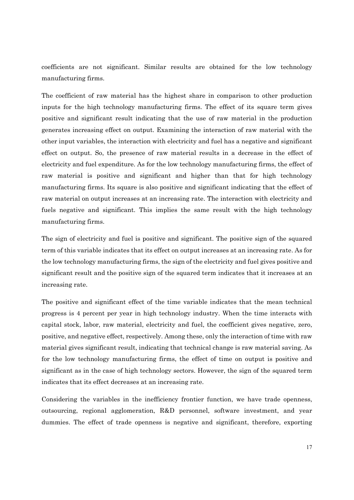coefficients are not significant. Similar results are obtained for the low technology manufacturing firms.

The coefficient of raw material has the highest share in comparison to other production inputs for the high technology manufacturing firms. The effect of its square term gives positive and significant result indicating that the use of raw material in the production generates increasing effect on output. Examining the interaction of raw material with the other input variables, the interaction with electricity and fuel has a negative and significant effect on output. So, the presence of raw material results in a decrease in the effect of electricity and fuel expenditure. As for the low technology manufacturing firms, the effect of raw material is positive and significant and higher than that for high technology manufacturing firms. Its square is also positive and significant indicating that the effect of raw material on output increases at an increasing rate. The interaction with electricity and fuels negative and significant. This implies the same result with the high technology manufacturing firms.

The sign of electricity and fuel is positive and significant. The positive sign of the squared term of this variable indicates that its effect on output increases at an increasing rate. As for the low technology manufacturing firms, the sign of the electricity and fuel gives positive and significant result and the positive sign of the squared term indicates that it increases at an increasing rate.

The positive and significant effect of the time variable indicates that the mean technical progress is 4 percent per year in high technology industry. When the time interacts with capital stock, labor, raw material, electricity and fuel, the coefficient gives negative, zero, positive, and negative effect, respectively. Among these, only the interaction of time with raw material gives significant result, indicating that technical change is raw material saving. As for the low technology manufacturing firms, the effect of time on output is positive and significant as in the case of high technology sectors. However, the sign of the squared term indicates that its effect decreases at an increasing rate.

Considering the variables in the inefficiency frontier function, we have trade openness, outsourcing, regional agglomeration, R&D personnel, software investment, and year dummies. The effect of trade openness is negative and significant, therefore, exporting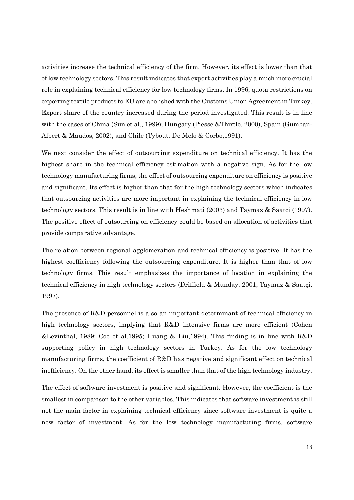activities increase the technical efficiency of the firm. However, its effect is lower than that of low technology sectors. This result indicates that export activities play a much more crucial role in explaining technical efficiency for low technology firms. In 1996, quota restrictions on exporting textile products to EU are abolished with the Customs Union Agreement in Turkey. Export share of the country increased during the period investigated. This result is in line with the cases of China (Sun et al., 1999); Hungary (Piesse &Thirtle, 2000), Spain (Gumbau-Albert & Maudos, 2002), and Chile (Tybout, De Melo & Corbo,1991).

We next consider the effect of outsourcing expenditure on technical efficiency. It has the highest share in the technical efficiency estimation with a negative sign. As for the low technology manufacturing firms, the effect of outsourcing expenditure on efficiency is positive and significant. Its effect is higher than that for the high technology sectors which indicates that outsourcing activities are more important in explaining the technical efficiency in low technology sectors. This result is in line with Heshmati (2003) and Taymaz & Saatci (1997). The positive effect of outsourcing on efficiency could be based on allocation of activities that provide comparative advantage.

The relation between regional agglomeration and technical efficiency is positive. It has the highest coefficiency following the outsourcing expenditure. It is higher than that of low technology firms. This result emphasizes the importance of location in explaining the technical efficiency in high technology sectors (Driffield & Munday, 2001; Taymaz & Saatçi, 1997).

The presence of R&D personnel is also an important determinant of technical efficiency in high technology sectors, implying that R&D intensive firms are more efficient (Cohen &Levinthal, 1989; Coe et al.1995; Huang & Liu,1994). This finding is in line with R&D supporting policy in high technology sectors in Turkey. As for the low technology manufacturing firms, the coefficient of R&D has negative and significant effect on technical inefficiency. On the other hand, its effect is smaller than that of the high technology industry.

The effect of software investment is positive and significant. However, the coefficient is the smallest in comparison to the other variables. This indicates that software investment is still not the main factor in explaining technical efficiency since software investment is quite a new factor of investment. As for the low technology manufacturing firms, software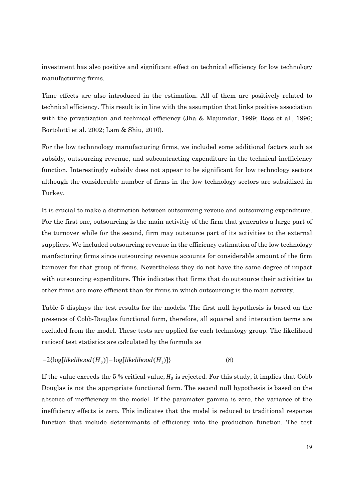investment has also positive and significant effect on technical efficiency for low technology manufacturing firms.

Time effects are also introduced in the estimation. All of them are positively related to technical efficiency. This result is in line with the assumption that links positive association with the privatization and technical efficiency (Jha & Majumdar, 1999; Ross et al., 1996; Bortolotti et al. 2002; Lam & Shiu, 2010).

For the low technnology manufacturing firms, we included some additional factors such as subsidy, outsourcing revenue, and subcontracting expenditure in the technical inefficiency function. Interestingly subsidy does not appear to be significant for low technology sectors although the considerable number of firms in the low technology sectors are subsidized in Turkey.

It is crucial to make a distinction between outsourcing reveue and outsourcing expenditure. For the first one, outsourcing is the main activitiy of the firm that generates a large part of the turnover while for the second, firm may outsource part of its activities to the external suppliers. We included outsourcing revenue in the efficiency estimation of the low technology manfacturing firms since outsourcing revenue accounts for considerable amount of the firm turnover for that group of firms. Nevertheless they do not have the same degree of impact with outsourcing expenditure. This indicates that firms that do outsource their activities to other firms are more efficient than for firms in which outsourcing is the main activity.

Table 5 displays the test results for the models. The first null hypothesis is based on the presence of Cobb-Douglas functional form, therefore, all squared and interaction terms are excluded from the model. These tests are applied for each technology group. The likelihood ratiosof test statistics are calculated by the formula as

#### $-2\{\log[likelihood(H_0)] - \log[likelihood(H_1)]\}$  (8)

If the value exceeds the 5 % critical value,  $H_0$  is rejected. For this study, it implies that Cobb Douglas is not the appropriate functional form. The second null hypothesis is based on the absence of inefficiency in the model. If the paramater gamma is zero, the variance of the inefficiency effects is zero. This indicates that the model is reduced to traditional response function that include determinants of efficiency into the production function. The test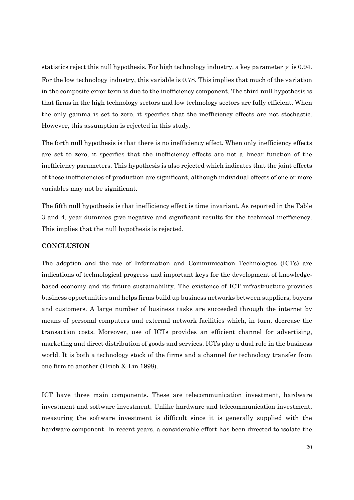statistics reject this null hypothesis. For high technology industry, a key parameter  $\gamma$  is 0.94. For the low technology industry, this variable is 0.78. This implies that much of the variation in the composite error term is due to the inefficiency component. The third null hypothesis is that firms in the high technology sectors and low technology sectors are fully efficient. When the only gamma is set to zero, it specifies that the inefficiency effects are not stochastic. However, this assumption is rejected in this study.

The forth null hypothesis is that there is no inefficiency effect. When only inefficiency effects are set to zero, it specifies that the inefficiency effects are not a linear function of the inefficiency parameters. This hypothesis is also rejected which indicates that the joint effects of these inefficiencies of production are significant, although individual effects of one or more variables may not be significant.

The fifth null hypothesis is that inefficiency effect is time invariant. As reported in the Table 3 and 4, year dummies give negative and significant results for the technical inefficiency. This implies that the null hypothesis is rejected.

#### **CONCLUSION**

The adoption and the use of Information and Communication Technologies (ICTs) are indications of technological progress and important keys for the development of knowledgebased economy and its future sustainability. The existence of ICT infrastructure provides business opportunities and helps firms build up business networks between suppliers, buyers and customers. A large number of business tasks are succeeded through the internet by means of personal computers and external network facilities which, in turn, decrease the transaction costs. Moreover, use of ICTs provides an efficient channel for advertising, marketing and direct distribution of goods and services. ICTs play a dual role in the business world. It is both a technology stock of the firms and a channel for technology transfer from one firm to another (Hsieh & Lin 1998).

ICT have three main components. These are telecommunication investment, hardware investment and software investment. Unlike hardware and telecommunication investment, measuring the software investment is difficult since it is generally supplied with the hardware component. In recent years, a considerable effort has been directed to isolate the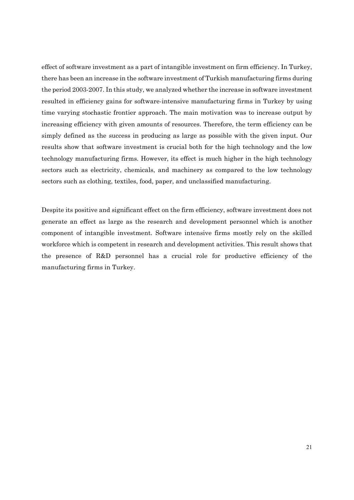effect of software investment as a part of intangible investment on firm efficiency. In Turkey, there has been an increase in the software investment of Turkish manufacturing firms during the period 2003-2007. In this study, we analyzed whether the increase in software investment resulted in efficiency gains for software-intensive manufacturing firms in Turkey by using time varying stochastic frontier approach. The main motivation was to increase output by increasing efficiency with given amounts of resources. Therefore, the term efficiency can be simply defined as the success in producing as large as possible with the given input. Our results show that software investment is crucial both for the high technology and the low technology manufacturing firms. However, its effect is much higher in the high technology sectors such as electricity, chemicals, and machinery as compared to the low technology sectors such as clothing, textiles, food, paper, and unclassified manufacturing.

Despite its positive and significant effect on the firm efficiency, software investment does not generate an effect as large as the research and development personnel which is another component of intangible investment. Software intensive firms mostly rely on the skilled workforce which is competent in research and development activities. This result shows that the presence of R&D personnel has a crucial role for productive efficiency of the manufacturing firms in Turkey.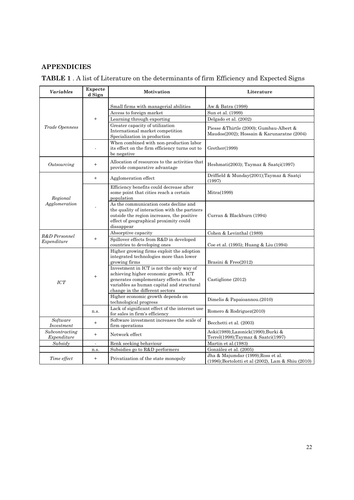### **APPENDICIES**

| <b>TABLE 1</b> . A list of Literature on the determinants of firm Efficiency and Expected Signs |  |  |  |
|-------------------------------------------------------------------------------------------------|--|--|--|
|-------------------------------------------------------------------------------------------------|--|--|--|

| <b>Variables</b>              | Expecte<br>d Sign                                                                                                                                                                                           | Motivation                                                                                               | Literature                                                                                       |
|-------------------------------|-------------------------------------------------------------------------------------------------------------------------------------------------------------------------------------------------------------|----------------------------------------------------------------------------------------------------------|--------------------------------------------------------------------------------------------------|
|                               |                                                                                                                                                                                                             |                                                                                                          |                                                                                                  |
|                               |                                                                                                                                                                                                             | Small firms with managerial abilities                                                                    | Aw & Batra (1998)                                                                                |
|                               |                                                                                                                                                                                                             | Access to foreign market                                                                                 | Sun et al. (1999)                                                                                |
|                               | $^{+}$                                                                                                                                                                                                      | Learning through exporting                                                                               | Delgado et al. (2002)                                                                            |
| Trade Openness                | Greater capacity of utilization<br>International market competition<br>Specialization in production                                                                                                         | Piesse &Thirtle (2000); Gumbau-Albert &<br>Maudos(2002); Hossain & Karunaratne (2004)                    |                                                                                                  |
|                               |                                                                                                                                                                                                             | When combined with non-production labor<br>its effect on the firm efficiency turns out to<br>be negative | Grether(1999)                                                                                    |
| Outsourcing                   | $^{+}$                                                                                                                                                                                                      | Allocation of resources to the activities that<br>provide comparative advantage                          | Heshmati(2003); Taymaz & Saatçi(1997)                                                            |
|                               | $+$                                                                                                                                                                                                         | Agglomeration effect                                                                                     | Driffield & Munday(2001);Taymaz & Saatçi<br>(1997)                                               |
| Regional<br>Agglomeration     | Efficiency benefits could decrease after<br>some point that cities reach a certain<br>population                                                                                                            | Mitra(1999)                                                                                              |                                                                                                  |
|                               | As the communication costs decline and<br>the quality of interaction with the partners<br>outside the region increases, the positive<br>effect of geographical proximity could<br>dissappear                | Curran & Blackburn (1994)                                                                                |                                                                                                  |
| R&D Personnel                 |                                                                                                                                                                                                             | Absorptive capacity                                                                                      | Cohen & Levinthal (1989)                                                                         |
| $^{+}$<br>Expenditure         |                                                                                                                                                                                                             | Spillover effects from R&D in developed<br>countries to developing ones                                  | Coe et al. (1995); Huang & Liu (1994)                                                            |
| $+$<br>ICT                    | Higher growing firms exploit the adoption<br>integrated technologies more than lower<br>growing firms                                                                                                       | Brasini & Freo(2012)                                                                                     |                                                                                                  |
|                               | Investment in ICT is not the only way of<br>achieving higher economic growth. ICT<br>generates complementary effects on the<br>variables as human capital and structural<br>change in the different sectors | Castiglione (2012)                                                                                       |                                                                                                  |
|                               | Higher economic growth depends on<br>technological progress                                                                                                                                                 | Dimelis & Papaioannou.(2010)                                                                             |                                                                                                  |
| n.s.                          |                                                                                                                                                                                                             | Lack of significant effect of the internet use<br>for sales in firm's efficiency                         | Romero & Rodriguez(2010)                                                                         |
| Software<br>Investment        | $+$                                                                                                                                                                                                         | Software investment increases the scale of<br>firm operations                                            | Becchetti et al. (2003)                                                                          |
| Subcontracting<br>Expenditure | $^{+}$                                                                                                                                                                                                      | Network effect                                                                                           | Aoki(1989);Lazonick(1990);Burki &<br>Terrel(1998);Taymaz & Saatci(1997)                          |
| Subsidy                       | $\overline{a}$                                                                                                                                                                                              | Renk seeking behaviour                                                                                   | Martin et al.(1983)                                                                              |
|                               | n.s.                                                                                                                                                                                                        | Subsidies go to R&D performers                                                                           | González et al. (2005)                                                                           |
| Time effect                   | $+$                                                                                                                                                                                                         | Privatization of the state monopoly                                                                      | Jha & Majumdar (1999); Ross et al.<br>$(1996)$ ; Bortolotti et al $(2002)$ , Lam & Shiu $(2010)$ |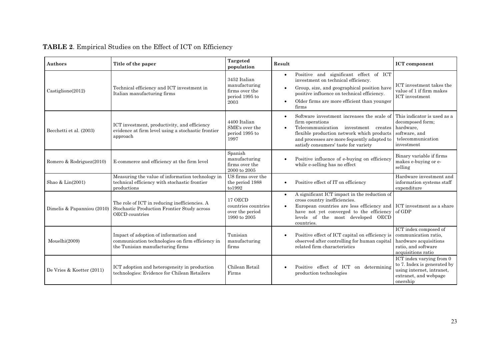| <b>Authors</b>             | Title of the paper                                                                                                            | <b>Targeted</b><br>population                                             | Result                                                                                                                                                                                                                                                                         | <b>ICT</b> component                                                                                                      |
|----------------------------|-------------------------------------------------------------------------------------------------------------------------------|---------------------------------------------------------------------------|--------------------------------------------------------------------------------------------------------------------------------------------------------------------------------------------------------------------------------------------------------------------------------|---------------------------------------------------------------------------------------------------------------------------|
| $\text{Castiglione}(2012)$ | Technical efficiency and ICT investment in<br>Italian manufacturing firms                                                     | 3452 Italian<br>manufacturing<br>firms over the<br>period 1995 to<br>2003 | Positive and significant effect of ICT<br>investment on technical efficiency.<br>Group, size, and geographical position have<br>positive influence on technical efficiency.<br>Older firms are more efficient than younger<br>firms                                            | ICT investment takes the<br>value of 1 if firm makes<br><b>ICT</b> investment                                             |
| Becchetti et al. (2003)    | ICT investment, productivity, and efficiency<br>evidence at firm level using a stochastic frontier<br>approach                | 4400 Italian<br>SME's over the<br>period 1995 to<br>1997                  | Software investment increases the scale of<br>firm operations<br>Telecommunication investment creates<br>$\bullet$<br>flexible production network which products<br>and processes are more fequently adapted to<br>satisfy consumers' taste for variety                        | This indicator is used as a<br>decomposed form;<br>hardware,<br>software, and<br>telecommunication<br>investment          |
| Romero & Rodriguez(2010)   | E-commerce and efficiency at the firm level                                                                                   | Spanish<br>manufacturing<br>firms over the<br>2000 to 2005                | Positive influence of e-buying on efficiency<br>while e-selling has no effect                                                                                                                                                                                                  | Binary variable if firms<br>makes e-buying or e-<br>selling                                                               |
| Shao & Lin(2001)           | Measuring the value of information technology in<br>technical efficiency with stochastic frontier<br>productions              | US firms over the<br>the period 1988<br>to1992                            | Positive effect of IT on efficiency                                                                                                                                                                                                                                            | Hardware investment and<br>information systems staff<br>expenditure                                                       |
| Dimelis & Papanniou (2010) | The role of ICT in reducing inefficiencies. A<br>Stochastic Production Frontier Study across<br>OECD countries                | 17 OECD<br>countries countries<br>over the period<br>1990 to 2005         | A significant ICT impact in the reduction of<br>$\bullet$<br>cross country inefficiencies.<br>European countries are less efficiency and ICT investment as a share<br>$\bullet$<br>have not yet converged to the efficiency<br>levels of the most developed OECD<br>countries. | of GDP                                                                                                                    |
| Mouelhi(2009)              | Impact of adoption of information and<br>communication technologies on firm efficiency in<br>the Tunisian manufacturing firms | Tunisian<br>manufacturing<br>firms                                        | Positive effect of ICT capital on efficiency is<br>observed after controlling for human capital<br>related firm characteristics                                                                                                                                                | ICT index composed of<br>communication ratio,<br>hardware acquisitions<br>ratio, and software<br>acquisitions ratio       |
| De Vries & Koetter (2011)  | ICT adoption and heterogeneity in production<br>technologies: Evidence for Chilean Retailers                                  | Chilean Retail<br>Firms                                                   | Positive effect of ICT on determining<br>production technologies                                                                                                                                                                                                               | ICT index varying from 0<br>to 7. Index is generated by<br>using internet, intranet,<br>extranet, and webpage<br>onership |

## **TABLE 2**. Empirical Studies on the Effect of ICT on Efficiency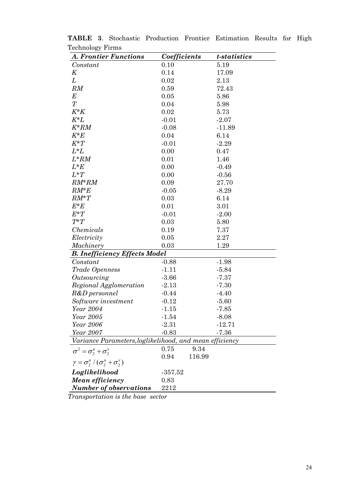| ື<br><b>A. Frontier Functions</b>                             | Coefficients |        | t-statistics |
|---------------------------------------------------------------|--------------|--------|--------------|
| Constant                                                      | 0.10         |        | 5.19         |
| K                                                             | 0.14         |        | 17.09        |
| L                                                             | 0.02         |        | 2.13         |
| RM                                                            | 0.59         |        | 72.43        |
| $E\,$                                                         | 0.05         |        | 5.86         |
| T                                                             | 0.04         |        | 5.98         |
| $K^*K$                                                        | 0.02         |        | 5.73         |
| $K^*L$                                                        | $-0.01$      |        | $-2.07$      |
| $K^*RM$                                                       | $-0.08$      |        | $-11.89$     |
| $K^*E$                                                        | 0.04         |        | 6.14         |
| $K^*T$                                                        | $-0.01$      |        | $-2.29$      |
| $L^*L$                                                        | 0.00         |        | 0.47         |
| $L^*RM$                                                       | 0.01         |        | 1.46         |
| $L^*E$                                                        | 0.00         |        | $-0.49$      |
| $L^*T$                                                        | 0.00         |        | $-0.56$      |
| $RM^*RM$                                                      | 0.09         |        | 27.70        |
| $RM*E$                                                        | $-0.05$      |        | $-8.29$      |
| $RM^*T$                                                       | 0.03         |        | 6.14         |
| $E^*E$                                                        | 0.01         |        | 3.01         |
| $E^*T$                                                        | $-0.01$      |        | $-2.00$      |
| $T^*T$                                                        | 0.03         |        | 5.80         |
| Chemicals                                                     | 0.19         |        | 7.37         |
| Electricity                                                   | 0.05         |        | 2.27         |
| Machinery                                                     | 0.03         |        | 1.29         |
| <b>B. Inefficiency Effects Model</b>                          |              |        |              |
| Constant                                                      | $-0.88$      |        | $-1.98$      |
| Trade Openness                                                | $-1.11$      |        | $-5.84$      |
| Outsourcing                                                   | $-3.66$      |        | $-7.37$      |
| Regional Agglomeration                                        | $-2.13$      |        | $-7.30$      |
| R&D personnel                                                 | $-0.44$      |        | $-4.40$      |
| Software investment                                           | $-0.12$      |        | $-5.60$      |
| Year 2004                                                     | $-1.15$      |        | $-7.85$      |
| Year 2005                                                     | $-1.54$      |        | $-8.08$      |
| Year 2006                                                     | $-2.31$      |        | $-12.71$     |
| Year 2007                                                     | $-0.83$      |        | $-7.36$      |
| Variance Parameters, loglikelihood, and mean efficiency       |              |        |              |
| $\sigma^2 = \sigma^u_2 + \sigma^v_2$                          | 0.75         | 9.34   |              |
| $\gamma = \sigma_{2}^{u} / (\sigma_{2}^{u} + \sigma_{2}^{v})$ | 0.94         | 116.99 |              |
| Loglikelihood                                                 | $-357.52$    |        |              |
| Mean efficiency                                               | 0.83         |        |              |
| <b>Number of observations</b>                                 | 2212         |        |              |

**TABLE 3**. Stochastic Production Frontier Estimation Results for High Technology Firms

*Transportation is the base sector*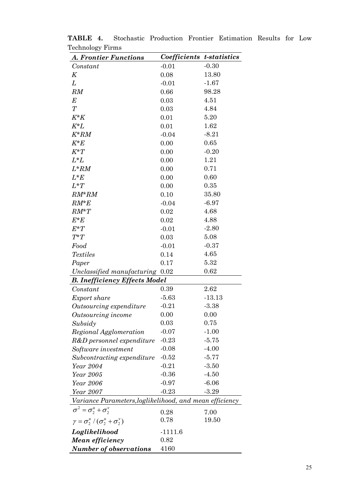| $_{\text{r}}$ comparisons $_{\text{r}}$ is more<br><b>A. Frontier Functions</b> | Coefficients t-statistics |                    |
|---------------------------------------------------------------------------------|---------------------------|--------------------|
| Constant                                                                        | $-0.01$                   | $-0.30$            |
| K                                                                               | 0.08                      | 13.80              |
| L                                                                               | $-0.01$                   | $-1.67$            |
| RM                                                                              | 0.66                      | 98.28              |
| E                                                                               | 0.03                      | 4.51               |
| T                                                                               | 0.03                      | 4.84               |
| $K^*K$                                                                          | 0.01                      | 5.20               |
| $K^*L$                                                                          | 0.01                      | 1.62               |
| $K^*RM$                                                                         | $-0.04$                   | $-8.21$            |
| $K^*E$                                                                          | 0.00                      | 0.65               |
| $K^*T$                                                                          | 0.00                      | $-0.20$            |
| $L^*L$                                                                          | 0.00                      | 1.21               |
| $L^*RM$                                                                         | 0.00                      | 0.71               |
| $L^*E$                                                                          | 0.00                      | 0.60               |
| $L^*T$                                                                          | 0.00                      | 0.35               |
| $RM^*RM$                                                                        | 0.10                      | 35.80              |
| $RM^*E$                                                                         | $-0.04$                   | $-6.97$            |
| $RM^*T$                                                                         | 0.02                      | 4.68               |
| $E^*E$                                                                          | 0.02                      | 4.88               |
| $E^*T$                                                                          | $-0.01$                   | $-2.80$            |
| $T^*T$                                                                          | 0.03                      | 5.08               |
| Food                                                                            | $-0.01$                   | $-0.37$            |
| <b>Textiles</b>                                                                 | 0.14                      | 4.65               |
| Paper                                                                           | 0.17                      | 5.32               |
| Unclassified manufacturing 0.02                                                 |                           | 0.62               |
| <b>B. Inefficiency Effects Model</b>                                            |                           |                    |
| Constant                                                                        | 0.39                      | 2.62               |
| Export share                                                                    | $-5.63$                   | $-13.13$           |
| Outsourcing expenditure                                                         | $-0.21$                   | $-3.38$            |
| Outsourcing income                                                              | 0.00                      | 0.00               |
| Subsidy                                                                         | 0.03                      | 0.75               |
| Regional Agglomeration                                                          | $-0.07$                   | $-1.00$            |
| R&D personnel expenditure                                                       | $-0.23$                   | $-5.75$            |
| Software investment                                                             | $-0.08$<br>$-0.52$        | $-4.00$<br>$-5.77$ |
| Subcontracting expenditure<br>Year 2004                                         | $-0.21$                   | $-3.50$            |
| Year 2005                                                                       | $-0.36$                   | $-4.50$            |
| Year 2006                                                                       | $-0.97$                   | $-6.06$            |
|                                                                                 | $-0.23$                   | $-3.29$            |
| Year 2007<br>Variance Parameters, loglikelihood, and mean efficiency            |                           |                    |
| $\sigma^2 = \sigma_2^u + \sigma_2^v$                                            | 0.28                      | 7.00               |
| $\gamma = \sigma_2^u / (\sigma_2^u + \sigma_2^v)$                               | 0.78                      | 19.50              |
| Loglikelihood                                                                   | $-1111.6$                 |                    |
| Mean efficiency                                                                 | 0.82                      |                    |
| Number of observations                                                          | 4160                      |                    |
|                                                                                 |                           |                    |

**TABLE 4.** Stochastic Production Frontier Estimation Results for Low Technology Firms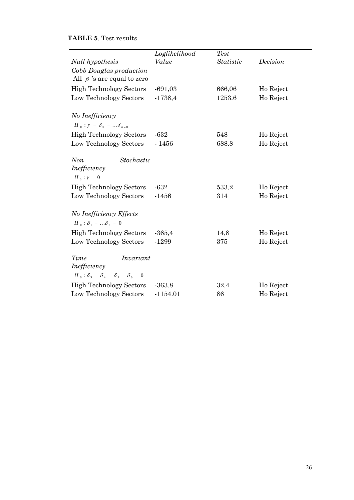### **TABLE 5**. Test results

|                                                                                              | Loglikelihood | <b>Test</b> |           |
|----------------------------------------------------------------------------------------------|---------------|-------------|-----------|
| Null hypothesis                                                                              | Value         | Statistic   | Decision  |
| Cobb Douglas production<br>All $\beta$ 's are equal to zero                                  |               |             |           |
| <b>High Technology Sectors</b>                                                               | $-691,03$     | 666,06      | Ho Reject |
| Low Technology Sectors                                                                       | $-1738,4$     | 1253.6      | Ho Reject |
| No Inefficiency<br>$H_0$ : $\gamma = \delta_0 =  \delta_{n=0}$                               |               |             |           |
| <b>High Technology Sectors</b>                                                               | $-632$        | 548         | Ho Reject |
| Low Technology Sectors                                                                       | $-1456$       | 688.8       | Ho Reject |
| Non<br>Stochastic<br>Inefficiency<br>$H_0$ : $\gamma = 0$                                    |               |             |           |
| <b>High Technology Sectors</b>                                                               | $-632$        | 533,2       | Ho Reject |
| Low Technology Sectors                                                                       | $-1456$       | 314         | Ho Reject |
| No Inefficiency Effects<br>$H_0$ : $\delta_1$ = $\delta_n$ = 0                               |               |             |           |
| <b>High Technology Sectors</b>                                                               | $-365,4$      | 14,8        | Ho Reject |
| Low Technology Sectors                                                                       | $-1299$       | 375         | Ho Reject |
| Time<br>Invariant<br>Inefficiency<br>$H_0$ : $\delta_3 = \delta_4 = \delta_5 = \delta_6 = 0$ |               |             |           |
| <b>High Technology Sectors</b>                                                               | $-363.8$      | 32.4        | Ho Reject |
| Low Technology Sectors                                                                       | $-1154.01$    | 86          | Ho Reject |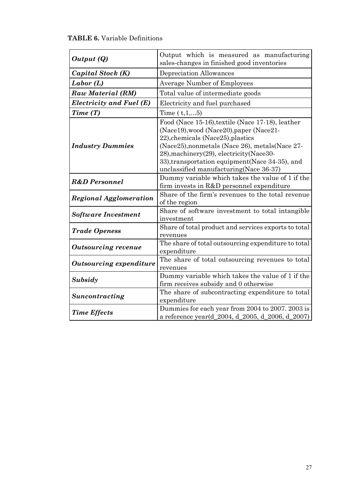| <b>TABLE 6.</b> Variable Definitions |
|--------------------------------------|
|                                      |

| Output (Q)                                                                                                                | Output which is measured as manufacturing<br>sales-changes in finished good inventories                                                                                                                                                                                                                                        |  |  |
|---------------------------------------------------------------------------------------------------------------------------|--------------------------------------------------------------------------------------------------------------------------------------------------------------------------------------------------------------------------------------------------------------------------------------------------------------------------------|--|--|
| Capital Stock (K)                                                                                                         | Depreciation Allowances                                                                                                                                                                                                                                                                                                        |  |  |
| Labor(L)                                                                                                                  | <b>Average Number of Employees</b>                                                                                                                                                                                                                                                                                             |  |  |
| Raw Material (RM)                                                                                                         | Total value of intermediate goods                                                                                                                                                                                                                                                                                              |  |  |
| Electricity and Fuel (E)                                                                                                  | Electricity and fuel purchased                                                                                                                                                                                                                                                                                                 |  |  |
| Time(T)                                                                                                                   | Time $(t,1,5)$                                                                                                                                                                                                                                                                                                                 |  |  |
| <b>Industry Dummies</b>                                                                                                   | Food (Nace 15-16), textile (Nace 17-18), leather<br>(Nace19), wood (Nace20), paper (Nace21-<br>22), chemicals (Nace25), plastics<br>(Nace25), nonmetals (Nace 26), metals (Nace 27-<br>28), machinery (29), electricity (Nace 30-<br>33), transportation equipment (Nace 34-35), and<br>unclassified manufacturing(Nace 36-37) |  |  |
| Dummy variable which takes the value of 1 if the<br><b>R&amp;D</b> Personnel<br>firm invests in R&D personnel expenditure |                                                                                                                                                                                                                                                                                                                                |  |  |
| <b>Regional Agglomeration</b>                                                                                             | Share of the firm's revenues to the total revenue<br>of the region                                                                                                                                                                                                                                                             |  |  |
| <b>Software Investment</b>                                                                                                | Share of software investment to total intangible<br>investment                                                                                                                                                                                                                                                                 |  |  |
| <b>Trade Openess</b>                                                                                                      | Share of total product and services exports to total<br>revenues                                                                                                                                                                                                                                                               |  |  |
| <b>Outsourcing revenue</b>                                                                                                | The share of total outsourcing expenditure to total<br>expenditure                                                                                                                                                                                                                                                             |  |  |
| <b>Outsourcing expenditure</b>                                                                                            | The share of total outsourcing revenues to total<br>revenues                                                                                                                                                                                                                                                                   |  |  |
| Subsidy                                                                                                                   | Dummy variable which takes the value of 1 if the<br>firm receives subsidy and 0 otherwise                                                                                                                                                                                                                                      |  |  |
| Suncontracting                                                                                                            | The share of subcontracting expenditure to total<br>expenditure                                                                                                                                                                                                                                                                |  |  |
| <b>Time Effects</b>                                                                                                       | Dummies for each year from 2004 to 2007. 2003 is<br>a reference year(d_2004, d_2005, d_2006, d_2007)                                                                                                                                                                                                                           |  |  |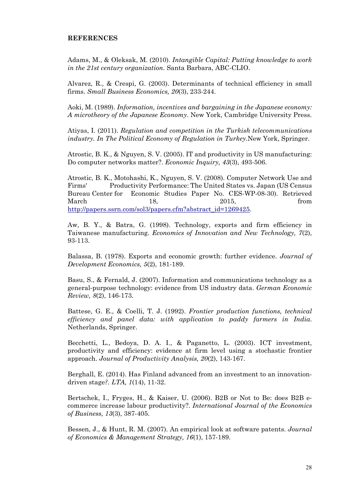#### **REFERENCES**

Adams, M., & Oleksak, M. (2010). *Intangible Capital: Putting knowledge to work in the 21st century organization*. Santa Barbara, ABC-CLIO.

Alvarez, R., & Crespi, G. (2003). Determinants of technical efficiency in small firms. *Small Business Economics, 20*(3), 233-244.

Aoki, M. (1989). *Information, incentives and bargaining in the Japanese economy: A microtheory of the Japanese Economy*. New York, Cambridge University Press.

Atiyas, I. (2011). *Regulation and competition in the Turkish telecommunications industry. In The Political Economy of Regulation in Turkey*.New York, Springer.

Atrostic, B. K., & Nguyen, S. V. (2005). IT and productivity in US manufacturing: Do computer networks matter?. *Economic Inquiry, 43*(3), 493-506.

Atrostic, B. K., Motohashi, K., Nguyen, S. V. (2008). Computer Network Use and Firms' Productivity Performance: The United States vs. Japan (US Census Bureau Center for Economic Studies Paper No. CES-WP-08-30). Retrieved March 18, 2015, from http://papers.ssrn.com/sol3/papers.cfm?abstract\_id=1269425.

Aw, B. Y., & Batra, G. (1998). Technology, exports and firm efficiency in Taiwanese manufacturing. *Economics of Innovation and New Technology, 7*(2), 93-113.

Balassa, B. (1978). Exports and economic growth: further evidence. *Journal of Development Economics, 5*(2), 181-189.

Basu, S., & Fernald, J. (2007). Information and communications technology as a general‐purpose technology: evidence from US industry data. *German Economic Review, 8*(2), 146-173.

Battese, G. E., & Coelli, T. J. (1992). *Frontier production functions, technical efficiency and panel data: with application to paddy farmers in India*. Netherlands, Springer.

Becchetti, L., Bedoya, D. A. I., & Paganetto, L. (2003). ICT investment, productivity and efficiency: evidence at firm level using a stochastic frontier approach. *Journal of Productivity Analysis, 20*(2), 143-167.

Berghall, E. (2014). Has Finland advanced from an investment to an innovationdriven stage*?. LTA, 1*(14), 11-32.

Bertschek, I., Fryges, H., & Kaiser, U. (2006). B2B or Not to Be: does B2B e‐ commerce increase labour productivity?. *International Journal of the Economics of Business, 13*(3), 387-405.

Bessen, J., & Hunt, R. M. (2007). An empirical look at software patents. *Journal of Economics & Management Strategy, 16*(1), 157-189.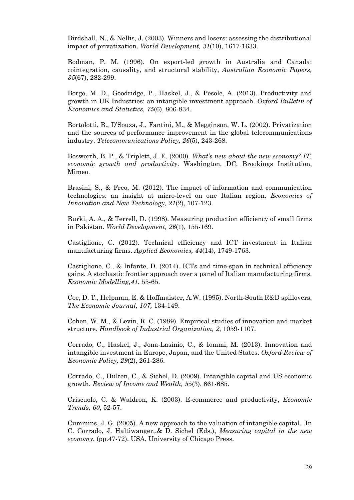Birdshall, N., & Nellis, J. (2003). Winners and losers: assessing the distributional impact of privatization. *World Development, 31*(10), 1617-1633.

Bodman, P. M. (1996). On export-led growth in Australia and Canada: cointegration, causality, and structural stability, *Australian Economic Papers, 35*(67), 282-299.

Borgo, M. D., Goodridge, P., Haskel, J., & Pesole, A. (2013). Productivity and growth in UK Industries: an intangible investment approach. *Oxford Bulletin of Economics and Statistics, 75*(6), 806-834.

Bortolotti, B., D'Souza, J., Fantini, M., & Megginson, W. L. (2002). Privatization and the sources of performance improvement in the global telecommunications industry. *Telecommunications Policy, 26*(5), 243-268.

Bosworth, B. P., & Triplett, J. E. (2000). *What's new about the new economy? IT, economic growth and productivity*. Washington, DC, Brookings Institution, Mimeo.

Brasini, S., & Freo, M. (2012). The impact of information and communication technologies: an insight at micro-level on one Italian region. *Economics of Innovation and New Technology, 21*(2), 107-123.

Burki, A. A., & Terrell, D. (1998). Measuring production efficiency of small firms in Pakistan. *World Development, 26*(1), 155-169.

Castiglione, C. (2012). Technical efficiency and ICT investment in Italian manufacturing firms. *Applied Economics, 44*(14), 1749-1763.

Castiglione, C., & Infante, D. (2014). ICTs and time-span in technical efficiency gains. A stochastic frontier approach over a panel of Italian manufacturing firms. *Economic Modelling,41*, 55-65.

Coe, D. T., Helpman, E. & Hoffmaister, A.W. (1995). North-South R&D spillovers, *The Economic Journal, 107,* 134-149.

Cohen, W. M., & Levin, R. C. (1989). Empirical studies of innovation and market structure. *Handbook of Industrial Organization, 2*, 1059-1107.

Corrado, C., Haskel, J., Jona-Lasinio, C., & Iommi, M. (2013). Innovation and intangible investment in Europe, Japan, and the United States. *Oxford Review of Economic Policy, 29*(2), 261-286.

Corrado, C., Hulten, C., & Sichel, D. (2009). Intangible capital and US economic growth. *Review of Income and Wealth, 55*(3), 661-685.

Criscuolo, C. & Waldron, K. (2003). E-commerce and productivity, *Economic Trends, 60*, 52-57.

Cummins, J. G. (2005). A new approach to the valuation of intangible capital. In C. Corrado, J. Haltiwanger,.& D. Sichel (Eds.), *Measuring capital in the new economy*, (pp.47-72). USA, University of Chicago Press.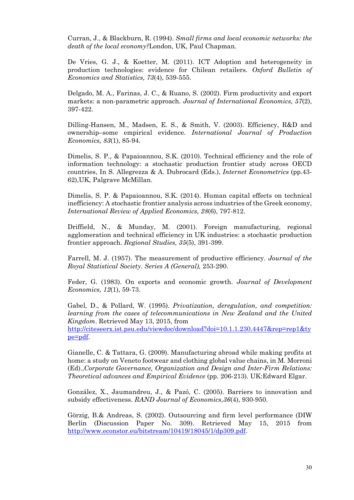Curran, J., & Blackburn, R. (1994). *Small firms and local economic networks: the death of the local economy?*London, UK, Paul Chapman.

De Vries, G. J., & Koetter, M. (2011). ICT Adoption and heterogeneity in production technologies: evidence for Chilean retailers. *Oxford Bulletin of Economics and Statistics, 73*(4), 539-555.

Delgado, M. A., Farinas, J. C., & Ruano, S. (2002). Firm productivity and export markets: a non-parametric approach. *Journal of International Economics, 57*(2), 397-422.

Dilling-Hansen, M., Madsen, E. S., & Smith, V. (2003). Efficiency, R&D and ownership–some empirical evidence. *International Journal of Production Economics, 83*(1), 85-94.

Dimelis, S. P., & Papaioannou, S.K. (2010). Technical efficiency and the role of information technology: a stochastic production frontier study across OECD countries, In S. Allegrezza & A. Dubrocard (Eds.), *Internet Econometrics* (pp.43- 62),UK, Palgrave McMillan.

Dimelis, S. P. & Papaioannou, S.K. (2014). Human capital effects on technical inefficiency: A stochastic frontier analysis across industries of the Greek economy, *International Review of Applied Economics, 28*(6), 797-812.

Driffield, N., & Munday, M. (2001). Foreign manufacturing, regional agglomeration and technical efficiency in UK industries: a stochastic production frontier approach. *Regional Studies, 35*(5), 391-399.

Farrell, M. J. (1957). The measurement of productive efficiency. *Journal of the Royal Statistical Society*. *Series A (General),* 253-290.

Feder, G. (1983). On exports and economic growth. *Journal of Development Economics, 12*(1), 59-73.

Gabel, D., & Pollard, W. (1995). *Privatization, deregulation, and competition: learning from the cases of telecommunications in New Zealand and the United Kingdom*. Retrieved May 13, 2015, from

http://citeseerx.ist.psu.edu/viewdoc/download?doi=10.1.1.230.4447&rep=rep1&ty pe=pdf.

Gianelle, C. & Tattara, G. (2009). Manufacturing abroad while making profits at home: a study on Veneto footwear and clothing global value chains, in M. Morroni (Ed).,*Corporate Governance, Organization and Design and Inter-Firm Relations: Theoretical advances and Empirical Evidence* (pp. 206-213). UK:Edward Elgar.

González, X., Jaumandreu, J., & Pazó, C. (2005). Barriers to innovation and subsidy effectiveness. *RAND Journal of Economics*,*36*(4), 930-950.

Görzig, B.& Andreas, S. (2002). Outsourcing and firm level performance (DIW Berlin (Discussion Paper No. 309). Retrieved May 15, 2015 from http://www.econstor.eu/bitstream/10419/18045/1/dp309.pdf.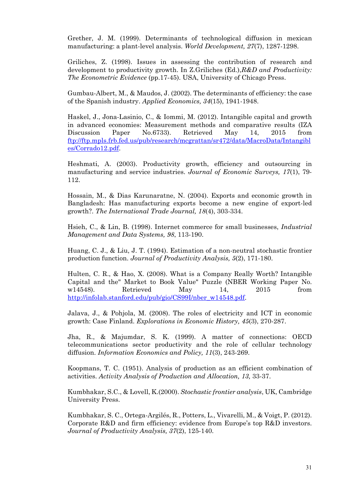Grether, J. M. (1999). Determinants of technological diffusion in mexican manufacturing: a plant-level analysis. *World Development, 27*(7), 1287-1298.

Griliches, Z. (1998). Issues in assessing the contribution of research and development to productivity growth. In Z.Griliches (Ed.),*R&D and Productivity: The Econometric Evidence* (pp.17-45). USA, University of Chicago Press.

Gumbau-Albert, M., & Maudos, J. (2002). The determinants of efficiency: the case of the Spanish industry. *Applied Economics, 34*(15), 1941-1948.

Haskel, J., Jona-Lasinio, C., & Iommi, M. (2012). Intangible capital and growth in advanced economies: Measurement methods and comparative results (IZA Discussion Paper No.6733). Retrieved May 14, 2015 from ftp://ftp.mpls.frb.fed.us/pub/research/mcgrattan/sr472/data/MacroData/Intangibl es/Corrado12.pdf.

Heshmati, A. (2003). Productivity growth, efficiency and outsourcing in manufacturing and service industries. *Journal of Economic Surveys, 17*(1), 79- 112.

Hossain, M., & Dias Karunaratne, N. (2004). Exports and economic growth in Bangladesh: Has manufacturing exports become a new engine of export-led growth?. *The International Trade Journal, 18*(4), 303-334.

Hsieh, C., & Lin, B. (1998). Internet commerce for small businesses, *Industrial Management and Data Systems, 98*, 113-190.

Huang, C. J., & Liu, J. T. (1994). Estimation of a non-neutral stochastic frontier production function. *Journal of Productivity Analysis, 5*(2), 171-180.

Hulten, C. R., & Hao, X. (2008). What is a Company Really Worth? Intangible Capital and the" Market to Book Value" Puzzle (NBER Working Paper No. w14548). Retrieved May 14, 2015 from http://infolab.stanford.edu/pub/gio/CS99I/nber\_w14548.pdf.

Jalava, J., & Pohjola, M. (2008). The roles of electricity and ICT in economic growth: Case Finland. *Explorations in Economic History, 45*(3), 270-287.

Jha, R., & Majumdar, S. K. (1999). A matter of connections: OECD telecommunications sector productivity and the role of cellular technology diffusion. *Information Economics and Policy, 11*(3), 243-269.

Koopmans, T. C. (1951). Analysis of production as an efficient combination of activities. *Activity Analysis of Production and Allocation, 13,* 33-37.

Kumbhakar, S.C., & Lovell, K.(2000). *Stochastic frontier analysis*, UK, Cambridge University Press.

Kumbhakar, S. C., Ortega-Argilés, R., Potters, L., Vivarelli, M., & Voigt, P. (2012). Corporate R&D and firm efficiency: evidence from Europe's top R&D investors. *Journal of Productivity Analysis, 37*(2), 125-140.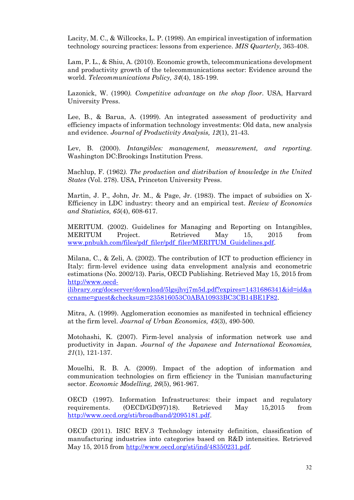Lacity, M. C., & Willcocks, L. P. (1998). An empirical investigation of information technology sourcing practices: lessons from experience. *MIS Quarterly,* 363-408.

Lam, P. L., & Shiu, A. (2010). Economic growth, telecommunications development and productivity growth of the telecommunications sector: Evidence around the world. *Telecommunications Policy, 34*(4), 185-199.

Lazonick, W. (1990*). Competitive advantage on the shop floor*. USA, Harvard University Press.

Lee, B., & Barua, A. (1999). An integrated assessment of productivity and efficiency impacts of information technology investments: Old data, new analysis and evidence. *Journal of Productivity Analysis, 12*(1), 21-43.

Lev, B. (2000). *Intangibles: management, measurement, and reporting*. Washington DC:Brookings Institution Press.

Machlup, F. (1962*). The production and distribution of knowledge in the United States* (Vol. 278). USA, Princeton University Press.

Martin, J. P., John, Jr. M., & Page, Jr. (1983). The impact of subsidies on X-Efficiency in LDC industry: theory and an empirical test. *Review of Economics and Statistics, 65*(4), 608-617.

MERITUM. (2002). Guidelines for Managing and Reporting on Intangibles, MERITUM Project. Retrieved May 15, 2015 from www.pnbukh.com/files/pdf\_filer/pdf\_filer/MERITUM\_Guidelines.pdf.

Milana, C., & Zeli, A. (2002). The contribution of ICT to production efficiency in Italy: firm-level evidence using data envelopment analysis and econometric estimations (No. 2002/13). Paris, OECD Publishing. Retrieved May 15, 2015 from http://www.oecd-

ilibrary.org/docserver/download/5lgsjhvj7m5d.pdf?expires=1431686341&id=id&a ccname=guest&checksum=235816053C0ABA10933BC3CB14BE1F82.

Mitra, A. (1999). Agglomeration economies as manifested in technical efficiency at the firm level. *Journal of Urban Economics, 45*(3), 490-500.

Motohashi, K. (2007). Firm-level analysis of information network use and productivity in Japan. *Journal of the Japanese and International Economies, 21*(1), 121-137.

Mouelhi, R. B. A. (2009). Impact of the adoption of information and communication technologies on firm efficiency in the Tunisian manufacturing sector. *Economic Modelling, 26*(5), 961-967.

OECD (1997). Information Infrastructures: their impact and regulatory requirements. (OECD/GD(97)18). Retrieved May 15,2015 from http://www.oecd.org/sti/broadband/2095181.pdf.

OECD (2011). ISIC REV.3 Technology intensity definition, classification of manufacturing industries into categories based on R&D intensities. Retrieved May 15, 2015 from http://www.oecd.org/sti/ind/48350231.pdf.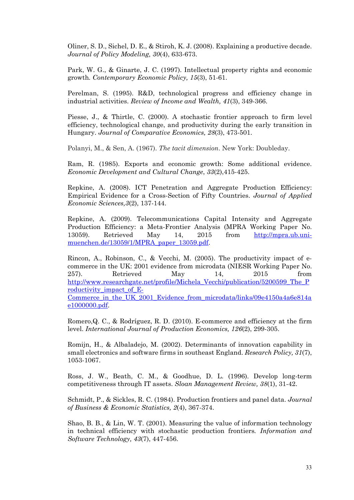Oliner, S. D., Sichel, D. E., & Stiroh, K. J. (2008). Explaining a productive decade. *Journal of Policy Modeling, 30*(4), 633-673.

Park, W. G., & Ginarte, J. C. (1997). Intellectual property rights and economic growth*. Contemporary Economic Policy, 15*(3), 51-61.

Perelman, S. (1995). R&D, technological progress and efficiency change in industrial activities. *Review of Income and Wealth, 41*(3), 349-366.

Piesse, J., & Thirtle, C. (2000). A stochastic frontier approach to firm level efficiency, technological change, and productivity during the early transition in Hungary. *Journal of Comparative Economics, 28*(3), 473-501.

Polanyi, M., & Sen, A. (1967). *The tacit dimension*. New York: Doubleday.

Ram, R. (1985). Exports and economic growth: Some additional evidence. *Economic Development and Cultural Change*, *33*(2),415-425.

Repkine, A. (2008). ICT Penetration and Aggregate Production Efficiency: Empirical Evidence for a Cross-Section of Fifty Countries. *Journal of Applied Economic Sciences,3*(2), 137-144.

Repkine, A. (2009). Telecommunications Capital Intensity and Aggregate Production Efficiency: a Meta-Frontier Analysis (MPRA Working Paper No. 13059). Retrieved May 14, 2015 from http://mpra.ub.unimuenchen.de/13059/1/MPRA\_paper\_13059.pdf.

Rincon, A., Robinson, C., & Vecchi, M. (2005). The productivity impact of ecommerce in the UK: 2001 evidence from microdata (NIESR Working Paper No. 257). Retrieved May 14, 2015 from http://www.researchgate.net/profile/Michela\_Vecchi/publication/5200599\_The\_P roductivity impact of E-

Commerce in the UK 2001 Evidence from microdata/links/09e4150a4a6e814a e1000000.pdf.

Romero,Q. C., & Rodríguez, R. D. (2010). E-commerce and efficiency at the firm level. *International Journal of Production Economics, 126*(2), 299-305.

Romijn, H., & Albaladejo, M. (2002). Determinants of innovation capability in small electronics and software firms in southeast England. *Research Policy, 31*(7), 1053-1067.

Ross, J. W., Beath, C. M., & Goodhue, D. L. (1996). Develop long-term competitiveness through IT assets. *Sloan Management Review, 38*(1), 31-42.

Schmidt, P., & Sickles, R. C. (1984). Production frontiers and panel data. *Journal of Business & Economic Statistics, 2*(4), 367-374.

Shao, B. B., & Lin, W. T. (2001). Measuring the value of information technology in technical efficiency with stochastic production frontiers*. Information and Software Technology, 43*(7), 447-456.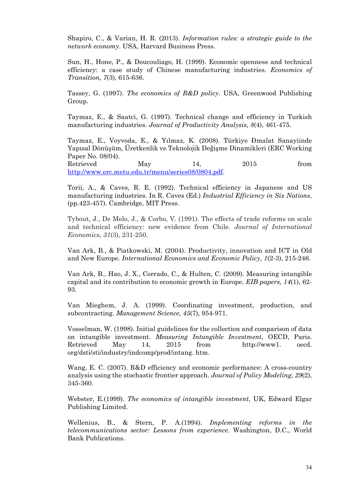Shapiro, C., & Varian, H. R. (2013). *Information rules: a strategic guide to the network economy*. USA, Harvard Business Press.

Sun, H., Hone, P., & Doucouliago, H. (1999). Economic openness and technical efficiency: a case study of Chinese manufacturing industries. *Economics of Transition, 7*(3), 615-636.

Tassey, G. (1997). *The economics of R&D policy*. USA, Greenwood Publishing Group.

Taymaz, E., & Saatci, G. (1997). Technical change and efficiency in Turkish manufacturing industries. *Journal of Productivity Analysis, 8*(4), 461-475.

Taymaz, E., Voyvoda, E., & Yılmaz, K. (2008). Türkiye Đmalat Sanayiinde Yapısal Dönüşüm, Üretkenlik ve Teknolojik Değişme Dinamikleri (ERC Working Paper No. 08/04). Retrieved May 14, 2015 from

http://www.erc.metu.edu.tr/menu/series08/0804.pdf.

Torii, A., & Caves, R. E. (1992). Technical efficiency in Japanese and US manufacturing industries. In R. Caves (Ed.) *Industrial Efficiency in Six Nations*, (pp.423-457). Cambridge, MIT Press.

Tybout, J., De Melo, J., & Corbo, V. (1991). The effects of trade reforms on scale and technical efficiency: new evidence from Chile. *Journal of International Economics*, *31*(3), 231-250.

Van Ark, B., & Piatkowski, M. (2004). Productivity, innovation and ICT in Old and New Europe. *International Economics and Economic Policy, 1*(2-3), 215-246.

Van Ark, B., Hao, J. X., Corrado, C., & Hulten, C. (2009). Measuring intangible capital and its contribution to economic growth in Europe. *EIB papers, 14*(1), 62- 93.

Van Mieghem, J. A. (1999). Coordinating investment, production, and subcontracting. *Management Science, 45*(7), 954-971.

Vosselman, W. (1998). Initial guidelines for the collection and comparison of data on intangible investment. *Measuring Intangible Investment*, OECD, Paris. Retrieved May 14, 2015 from http://www1. oecd. org/dsti/sti/industry/indcomp/prod/intang. htm.

Wang, E. C. (2007). R&D efficiency and economic performance: A cross-country analysis using the stochastic frontier approach. *Journal of Policy Modeling, 29*(2), 345-360.

Webster, E.(1999). *The economics of intangible investment*, UK, Edward Elgar Publishing Limited.

Wellenius, B., & Stern, P. A.(1994). *Implementing reforms in the telecommunications sector: Lessons from experience*. Washington, D.C., World Bank Publications.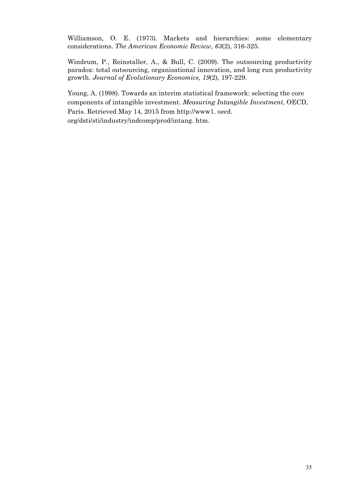Williamson, O. E. (1973). Markets and hierarchies: some elementary considerations. *The American Economic Review*, *63*(2), 316-325.

Windrum, P., Reinstaller, A., & Bull, C. (2009). The outsourcing productivity paradox: total outsourcing, organisational innovation, and long run productivity growth. *Journal of Evolutionary Economics, 19*(2), 197-229.

Young, A. (1998). Towards an interim statistical framework: selecting the core components of intangible investment. *Measuring Intangible Investment*, OECD, Paris. Retrieved May 14, 2015 from http://www1. oecd. org/dsti/sti/industry/indcomp/prod/intang. htm.